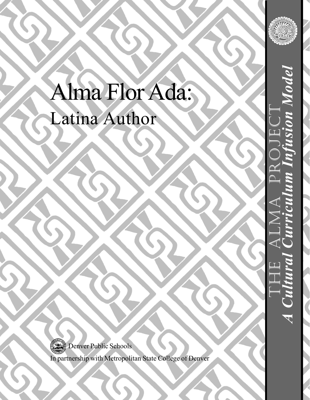

# *A Cultural Curriculum Infusion Model*odel THE ALMA PROJECT

# Alma Flor Ada: Latina Author

Denver Public Schools  $\sum_{i=1}^{n}$ 

In partnership with Metropolitan State College of Denver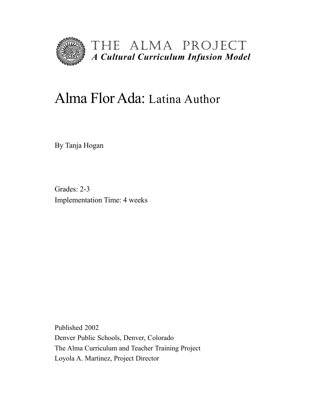

# Alma Flor Ada: Latina Author

By Tanja Hogan

Grades: 2-3 Implementation Time: 4 weeks

Published 2002 Denver Public Schools, Denver, Colorado The Alma Curriculum and Teacher Training Project Loyola A. Martinez, Project Director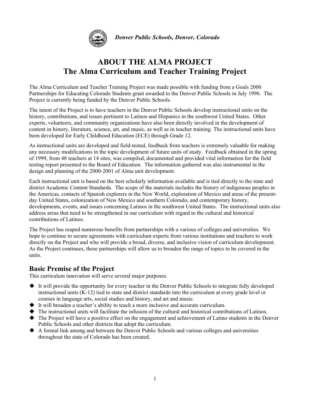

# **ABOUT THE ALMA PROJECT The Alma Curriculum and Teacher Training Project**

The Alma Curriculum and Teacher Training Project was made possible with funding from a Goals 2000 Partnerships for Educating Colorado Students grant awarded to the Denver Public Schools in July 1996. The Project is currently being funded by the Denver Public Schools.

The intent of the Project is to have teachers in the Denver Public Schools develop instructional units on the history, contributions, and issues pertinent to Latinos and Hispanics in the southwest United States. Other experts, volunteers, and community organizations have also been directly involved in the development of content in history, literature, science, art, and music, as well as in teacher training. The instructional units have been developed for Early Childhood Education (ECE) through Grade 12.

As instructional units are developed and field-tested, feedback from teachers is extremely valuable for making any necessary modifications in the topic development of future units of study. Feedback obtained in the spring of 1999, from 48 teachers at 14 sites, was compiled, documented and provided vital information for the field testing report presented to the Board of Education. The information gathered was also instrumental in the design and planning of the 2000-2001 of Alma unit development.

Each instructional unit is based on the best scholarly information available and is tied directly to the state and district Academic Content Standards. The scope of the materials includes the history of indigenous peoples in the Americas, contacts of Spanish explorers in the New World, exploration of Mexico and areas of the presentday United States, colonization of New Mexico and southern Colorado, and contemporary history, developments, events, and issues concerning Latinos in the southwest United States. The instructional units also address areas that need to be strengthened in our curriculum with regard to the cultural and historical contributions of Latinos.

The Project has reaped numerous benefits from partnerships with a various of colleges and universities. We hope to continue to secure agreements with curriculum experts from various institutions and teachers to work directly on the Project and who will provide a broad, diverse, and inclusive vision of curriculum development. As the Project continues, these partnerships will allow us to broaden the range of topics to be covered in the units.

### **Basic Premise of the Project**

This curriculum innovation will serve several major purposes.

- It will provide the opportunity for every teacher in the Denver Public Schools to integrate fully developed instructional units (K-12) tied to state and district standards into the curriculum at every grade level or courses in language arts, social studies and history, and art and music.
- $\blacklozenge$  It will broaden a teacher's ability to teach a more inclusive and accurate curriculum.
- The instructional units will facilitate the infusion of the cultural and historical contributions of Latinos.
- The Project will have a positive effect on the engagement and achievement of Latino students in the Denver Public Schools and other districts that adopt the curriculum.
- $\blacklozenge$  A formal link among and between the Denver Public Schools and various colleges and universities throughout the state of Colorado has been created.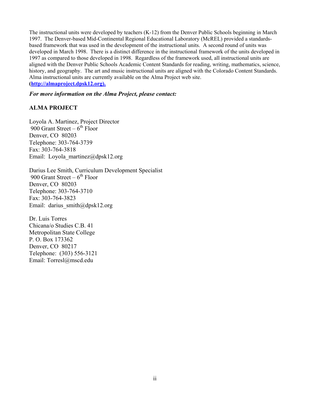The instructional units were developed by teachers (K-12) from the Denver Public Schools beginning in March 1997. The Denver-based Mid-Continental Regional Educational Laboratory (McREL) provided a standardsbased framework that was used in the development of the instructional units. A second round of units was developed in March 1998. There is a distinct difference in the instructional framework of the units developed in 1997 as compared to those developed in 1998. Regardless of the framework used, all instructional units are aligned with the Denver Public Schools Academic Content Standards for reading, writing, mathematics, science, history, and geography. The art and music instructional units are aligned with the Colorado Content Standards. Alma instructional units are currently available on the Alma Project web site. **(http://almaproject.dpsk12.org).**

### *For more information on the Alma Project, please contact:*

### **ALMA PROJECT**

Loyola A. Martinez, Project Director 900 Grant Street –  $6^{th}$  Floor Denver, CO 80203 Telephone: 303-764-3739 Fax: 303-764-3818 Email: Loyola martinez@dpsk12.org

Darius Lee Smith, Curriculum Development Specialist 900 Grant Street –  $6<sup>th</sup>$  Floor Denver, CO 80203 Telephone: 303-764-3710 Fax: 303-764-3823 Email: darius smith@dpsk12.org

Dr. Luis Torres Chicana/o Studies C.B. 41 Metropolitan State College P. O. Box 173362 Denver, CO 80217 Telephone: (303) 556-3121 Email: Torresl@mscd.edu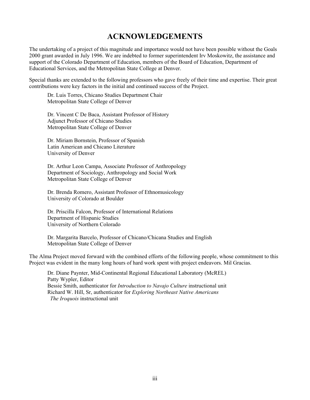## **ACKNOWLEDGEMENTS**

The undertaking of a project of this magnitude and importance would not have been possible without the Goals 2000 grant awarded in July 1996. We are indebted to former superintendent Irv Moskowitz, the assistance and support of the Colorado Department of Education, members of the Board of Education, Department of Educational Services, and the Metropolitan State College at Denver.

Special thanks are extended to the following professors who gave freely of their time and expertise. Their great contributions were key factors in the initial and continued success of the Project.

 Dr. Luis Torres, Chicano Studies Department Chair Metropolitan State College of Denver

 Dr. Vincent C De Baca, Assistant Professor of History Adjunct Professor of Chicano Studies Metropolitan State College of Denver

 Dr. Miriam Bornstein, Professor of Spanish Latin American and Chicano Literature University of Denver

 Dr. Arthur Leon Campa, Associate Professor of Anthropology Department of Sociology, Anthropology and Social Work Metropolitan State College of Denver

 Dr. Brenda Romero, Assistant Professor of Ethnomusicology University of Colorado at Boulder

 Dr. Priscilla Falcon, Professor of International Relations Department of Hispanic Studies University of Northern Colorado

 Dr. Margarita Barcelo, Professor of Chicano/Chicana Studies and English Metropolitan State College of Denver

The Alma Project moved forward with the combined efforts of the following people, whose commitment to this Project was evident in the many long hours of hard work spent with project endeavors. Mil Gracias.

 Dr. Diane Paynter, Mid-Continental Regional Educational Laboratory (McREL) Patty Wypler, Editor Bessie Smith, authenticator for *Introduction to Navajo Culture* instructional unit Richard W. Hill, Sr, authenticator for *Exploring Northeast Native Americans The Iroquois* instructional unit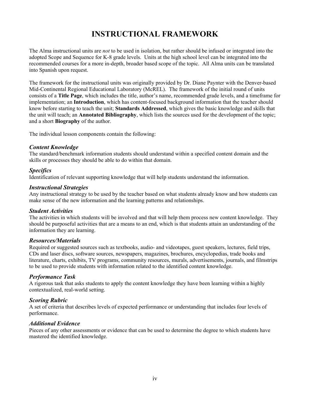# **INSTRUCTIONAL FRAMEWORK**

The Alma instructional units are *not* to be used in isolation, but rather should be infused or integrated into the adopted Scope and Sequence for K-8 grade levels. Units at the high school level can be integrated into the recommended courses for a more in-depth, broader based scope of the topic. All Alma units can be translated into Spanish upon request.

The framework for the instructional units was originally provided by Dr. Diane Paynter with the Denver-based Mid-Continental Regional Educational Laboratory (McREL). The framework of the initial round of units consists of a **Title Page**, which includes the title, author's name, recommended grade levels, and a timeframe for implementation; an **Introduction**, which has content-focused background information that the teacher should know before starting to teach the unit; **Standards Addressed**, which gives the basic knowledge and skills that the unit will teach; an **Annotated Bibliography**, which lists the sources used for the development of the topic; and a short **Biography** of the author.

The individual lesson components contain the following:

### *Content Knowledge*

The standard/benchmark information students should understand within a specified content domain and the skills or processes they should be able to do within that domain.

### *Specifics*

Identification of relevant supporting knowledge that will help students understand the information.

### *Instructional Strategies*

Any instructional strategy to be used by the teacher based on what students already know and how students can make sense of the new information and the learning patterns and relationships.

### *Student Activities*

The activities in which students will be involved and that will help them process new content knowledge. They should be purposeful activities that are a means to an end, which is that students attain an understanding of the information they are learning.

### *Resources/Materials*

Required or suggested sources such as textbooks, audio- and videotapes, guest speakers, lectures, field trips, CDs and laser discs, software sources, newspapers, magazines, brochures, encyclopedias, trade books and literature, charts, exhibits, TV programs, community resources, murals, advertisements, journals, and filmstrips to be used to provide students with information related to the identified content knowledge.

### *Performance Task*

A rigorous task that asks students to apply the content knowledge they have been learning within a highly contextualized, real-world setting.

### *Scoring Rubric*

A set of criteria that describes levels of expected performance or understanding that includes four levels of performance.

### *Additional Evidence*

Pieces of any other assessments or evidence that can be used to determine the degree to which students have mastered the identified knowledge.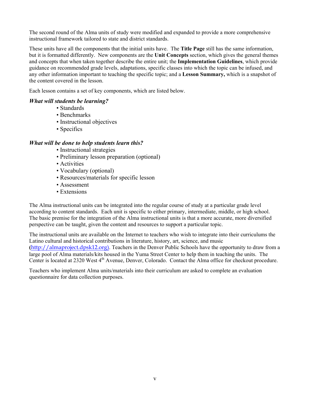The second round of the Alma units of study were modified and expanded to provide a more comprehensive instructional framework tailored to state and district standards.

These units have all the components that the initial units have. The **Title Page** still has the same information, but it is formatted differently. New components are the **Unit Concepts** section, which gives the general themes and concepts that when taken together describe the entire unit; the **Implementation Guidelines**, which provide guidance on recommended grade levels, adaptations, specific classes into which the topic can be infused, and any other information important to teaching the specific topic; and a **Lesson Summary,** which is a snapshot of the content covered in the lesson.

Each lesson contains a set of key components, which are listed below.

### *What will students be learning?*

- Standards
- Benchmarks
- Instructional objectives
- Specifics

### *What will be done to help students learn this?*

- Instructional strategies
- Preliminary lesson preparation (optional)
- Activities
- Vocabulary (optional)
- Resources/materials for specific lesson
- Assessment
- Extensions

The Alma instructional units can be integrated into the regular course of study at a particular grade level according to content standards. Each unit is specific to either primary, intermediate, middle, or high school. The basic premise for the integration of the Alma instructional units is that a more accurate, more diversified perspective can be taught, given the content and resources to support a particular topic.

The instructional units are available on the Internet to teachers who wish to integrate into their curriculums the Latino cultural and historical contributions in literature, history, art, science, and music **(**http://almaproject.dpsk12.org). Teachers in the Denver Public Schools have the opportunity to draw from a large pool of Alma materials/kits housed in the Yuma Street Center to help them in teaching the units. The Center is located at 2320 West 4<sup>th</sup> Avenue, Denver, Colorado. Contact the Alma office for checkout procedure.

Teachers who implement Alma units/materials into their curriculum are asked to complete an evaluation questionnaire for data collection purposes.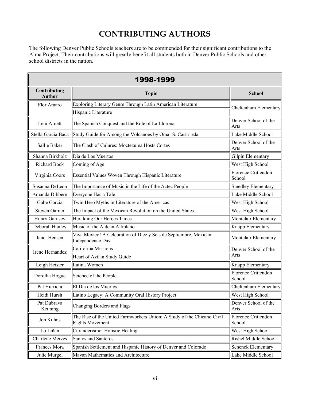# **CONTRIBUTING AUTHORS**

The following Denver Public Schools teachers are to be commended for their significant contributions to the Alma Project. Their contributions will greatly benefit all students both in Denver Public Schools and other school districts in the nation.

| 1998-1999                     |                                                                                                            |                                      |  |
|-------------------------------|------------------------------------------------------------------------------------------------------------|--------------------------------------|--|
| Contributing<br><b>Author</b> | <b>Topic</b>                                                                                               | <b>School</b>                        |  |
| Flor Amaro                    | Exploring Literary Genre Through Latin American Literature<br>Cheltenham Elementary<br>Hispanic Literature |                                      |  |
| Leni Arnett                   | The Spanish Conquest and the Role of La Llorona                                                            | Denver School of the<br>Arts         |  |
| Stella Garcia Baca            | Study Guide for Among the Volcanoes by Omar S. Casta-eda                                                   | Lake Middle School                   |  |
| Sallie Baker                  | The Clash of Culures: Moctezuma Hosts Cortes                                                               | Denver School of the<br>Arts         |  |
| Shanna Birkholz               | Dia de Los Muertos                                                                                         | Gilpin Elementary                    |  |
| <b>Richard Bock</b>           | Coming of Age                                                                                              | West High School                     |  |
| Virginia Coors                | Essential Values Woven Through Hispanic Literature                                                         | <b>Florence Crittendon</b><br>School |  |
| Susanna DeLeon                | The Importance of Music in the Life of the Aztec People                                                    | <b>Smedley Elementary</b>            |  |
| Amanda Dibbern                | Everyone Has a Tale                                                                                        | Lake Middle School                   |  |
| Gabe Garcia                   | Twin Hero Myths in Literature of the Americas                                                              | West High School                     |  |
| <b>Steven Garner</b>          | The Impact of the Mexican Revolution on the United States                                                  | West High School                     |  |
| <b>Hilary Garnsey</b>         | Heralding Our Heroes Times                                                                                 | Montclair Elementary                 |  |
| Deborah Hanley                | Music of the Aldean Altiplano                                                                              | Knapp Elementary                     |  |
| Janet Hensen                  | Viva Mexico! A Celebration of Diez y Seis de Septiembre, Mexican<br>Independence Day                       | Montclair Elementary                 |  |
| Irene Hernandez               | California Missions                                                                                        | Denver School of the                 |  |
|                               | Heart of Aztlan Study Guide                                                                                | Arts                                 |  |
| Leigh Heister                 | Latina Women                                                                                               | Knapp Elementary                     |  |
| Dorotha Hogue                 | Science of the People                                                                                      | <b>Florence Crittendon</b><br>School |  |
| Pat Hurrieta                  | El Dia de los Muertos                                                                                      | Cheltenham Elementary                |  |
| Heidi Hursh                   | Latino Legacy: A Community Oral History Project                                                            | West High School                     |  |
| Pat Dubrava<br>Keuning        | Changing Borders and Flags                                                                                 | Denver School of the<br>Arts         |  |
| Jon Kuhns                     | The Rise of the United Farmworkers Union: A Study of the Chicano Civil<br><b>Rights Movement</b>           | Florence Crittendon<br>School        |  |
| Lu Liñan                      | Curanderismo: Holistic Healing                                                                             | West High School                     |  |
| <b>Charlene Meives</b>        | Santos and Santeros                                                                                        | Rishel Middle School                 |  |
| Frances Mora                  | Spanish Settlement and Hispanic History of Denver and Colorado                                             | <b>Schenck Elementary</b>            |  |
| Julie Murgel                  | Mayan Mathematics and Architecture                                                                         | Lake Middle School                   |  |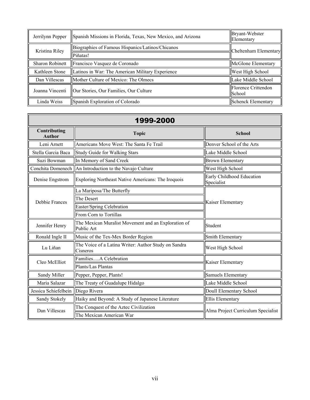| Jerrilynn Pepper       | Spanish Missions in Florida, Texas, New Mexico, and Arizona | Bryant-Webster<br>Elementary  |  |
|------------------------|-------------------------------------------------------------|-------------------------------|--|
| Kristina Riley         | Biographies of Famous Hispanics/Latinos/Chicanos            | Cheltenham Elementary         |  |
|                        | Piñatas!                                                    |                               |  |
| <b>Sharon Robinett</b> | Francisco Vasquez de Coronado<br>McGlone Elementary         |                               |  |
| Kathleen Stone         | Latinos in War: The American Military Experience            | West High School              |  |
| Dan Villescas          | Mother Culture of Mexico: The Olmecs                        | Lake Middle School            |  |
| Joanna Vincenti        | Our Stories, Our Families, Our Culture                      | Florence Crittendon<br>School |  |
| Linda Weiss            | Spanish Exploration of Colorado                             | <b>Schenck Elementary</b>     |  |

| 1999-2000                     |                                                                      |                                         |  |
|-------------------------------|----------------------------------------------------------------------|-----------------------------------------|--|
| Contributing<br><b>Author</b> | <b>Topic</b>                                                         | <b>School</b>                           |  |
| Leni Arnett                   | Americans Move West: The Santa Fe Trail                              | Denver School of the Arts               |  |
| Stella Garcia Baca            | Study Guide for Walking Stars                                        | Lake Middle School                      |  |
| Suzi Bowman                   | In Memory of Sand Creek                                              | <b>Brown Elementary</b>                 |  |
| Conchita Domenech             | An Introduction to the Navajo Culture                                | West High School                        |  |
| Denise Engstrom               | Exploring Northeast Native Americans: The Iroquois                   | Early Childhood Education<br>Specialist |  |
|                               | La Mariposa/The Butterfly                                            |                                         |  |
| Debbie Frances                | The Desert                                                           | Kaiser Elementary                       |  |
|                               | Easter/Spring Celebration                                            |                                         |  |
|                               | From Corn to Tortillas                                               |                                         |  |
| Jennifer Henry                | The Mexican Muralist Movement and an Exploration of<br>Public Art    | Student                                 |  |
| Ronald Ingle II               | Music of the Tex-Mex Border Region                                   | Smith Elementary                        |  |
| Lu Liñan                      | The Voice of a Latina Writer: Author Study on Sandra<br>Cisneros     | West High School                        |  |
| Cleo McElliot                 | FamiliesA Celebration                                                | Kaiser Elementary                       |  |
|                               | Plants/Las Plantas                                                   |                                         |  |
| Sandy Miller                  | Pepper, Pepper, Plants!                                              | Samuels Elementary                      |  |
| Maria Salazar                 | The Treaty of Guadalupe Hidalgo                                      | Lake Middle School                      |  |
| Jessica Schiefelbein          | Diego Rivera<br>Doull Elementary School                              |                                         |  |
| Sandy Stokely                 | Haiky and Beyond: A Study of Japanese Literature<br>Ellis Elementary |                                         |  |
| Dan Villescas                 | The Conquest of the Aztec Civilization                               | Alma Project Curriculum Specialist      |  |
|                               | The Mexican American War                                             |                                         |  |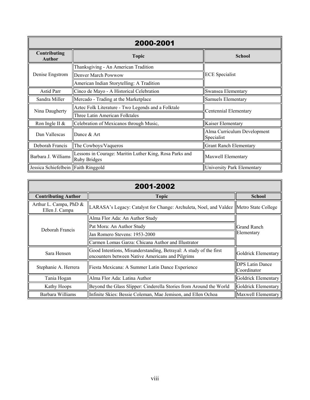| 2000-2001                           |                                                                                |                                           |  |
|-------------------------------------|--------------------------------------------------------------------------------|-------------------------------------------|--|
| Contributing<br><b>Author</b>       | <b>Topic</b>                                                                   | <b>School</b>                             |  |
|                                     | Thanksgiving - An American Tradition                                           |                                           |  |
| Denise Engstrom                     | Denver March Powwow                                                            | <b>ECE</b> Specialist                     |  |
|                                     | American Indian Storytelling: A Tradition                                      |                                           |  |
| Astid Parr                          | Cinco de Mayo - A Historical Celebration                                       | Swansea Elementary                        |  |
| Sandra Miller                       | Mercado - Trading at the Marketplace                                           | Samuels Elementary                        |  |
| Nina Daugherty                      | Aztec Folk Literature - Two Legends and a Folktale                             | Centennial Elementary                     |  |
|                                     | Three Latin American Folktales                                                 |                                           |  |
| Ron Ingle II &                      | Celebration of Mexicanos through Music,                                        | Kaiser Elementary                         |  |
| Dan Vallescas                       | Dance & Art                                                                    | Alma Curriculum Development<br>Specialist |  |
| Deborah Francis                     | The Cowboys/Vaqueros                                                           | <b>Grant Ranch Elementary</b>             |  |
| Barbara J. Williams                 | Lessons in Courage: Maritin Luther King, Rosa Parks and<br><b>Ruby Bridges</b> | Maxwell Elementary                        |  |
| Jessica Schiefelbein Faith Ringgold |                                                                                | University Park Elementary                |  |

| 2001-2002                                |                                                                                                                       |                     |  |
|------------------------------------------|-----------------------------------------------------------------------------------------------------------------------|---------------------|--|
| <b>Contributing Author</b>               | <b>Topic</b>                                                                                                          | <b>School</b>       |  |
| Arthur L. Campa, PhD &<br>Ellen J. Campa | LARASA's Legacy: Catalyst for Change: Archuleta, Noel, and Valdez  Metro State College                                |                     |  |
|                                          | Alma Flor Ada: An Author Study                                                                                        |                     |  |
| Deborah Francis                          | Pat Mora: An Author Study                                                                                             | <b>Grand Ranch</b>  |  |
|                                          | Jan Romero Stevens: 1953-2000                                                                                         | Elementary          |  |
|                                          | Carmen Lomas Garza: Chicana Author and Illustrator                                                                    |                     |  |
| Sara Hensen                              | Good Intentions, Misunderstanding, Betrayal: A study of the first<br>encounters between Native Americans and Pilgrims | Goldrick Elementary |  |
| Stephanie A. Herrera                     | <b>DPS</b> Latin Dance<br>Fiesta Mexicana: A Summer Latin Dance Experience<br>Coordinator                             |                     |  |
| Tania Hogan                              | Alma Flor Ada: Latina Author<br>Goldrick Elementary                                                                   |                     |  |
| Kathy Hoops                              | Beyond the Glass Slipper: Cinderella Stories from Around the World                                                    | Goldrick Elementary |  |
| Barbara Williams                         | Infinite Skies: Bessie Coleman, Mae Jemison, and Ellen Ochoa                                                          | Maxwell Elementary  |  |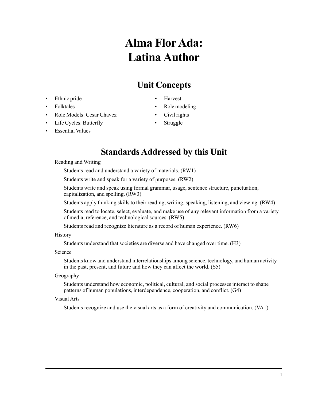# **Alma Flor Ada: Latina Author**

# **Unit Concepts**

- Ethnic pride Harvest
- 
- Role Models: Cesar Chavez Civil rights
- Life Cycles: Butterfly Struggle
- Essential Values
- 
- Folktales Role modeling
	-
	-

# **Standards Addressed by this Unit**

### Reading and Writing

Students read and understand a variety of materials. (RW1)

Students write and speak for a variety of purposes. (RW2)

Students write and speak using formal grammar, usage, sentence structure, punctuation, capitalization, and spelling. (RW3)

Students apply thinking skills to their reading, writing, speaking, listening, and viewing. (RW4)

Students read to locate, select, evaluate, and make use of any relevant information from a variety of media, reference, and technological sources. (RW5)

Students read and recognize literature as a record of human experience. (RW6)

### **History**

Students understand that societies are diverse and have changed over time. (H3)

### Science

Students know and understand interrelationships among science, technology, and human activity in the past, present, and future and how they can affect the world. (S5)

### Geography

Students understand how economic, political, cultural, and social processes interact to shape patterns of human populations, interdependence, cooperation, and conflict. (G4)

### Visual Arts

Students recognize and use the visual arts as a form of creativity and communication. (VA1)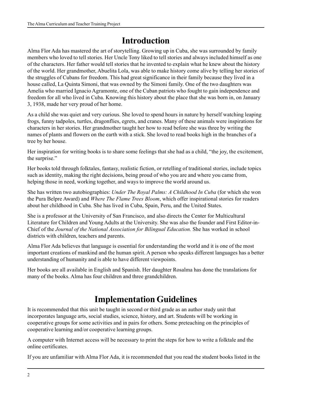# **Introduction**

Alma Flor Ada has mastered the art of storytelling. Growing up in Cuba, she was surrounded by family members who loved to tell stories. Her Uncle Tony liked to tell stories and always included himself as one of the characters. Her father would tell stories that he invented to explain what he knew about the history of the world. Her grandmother, Abuelita Lola, was able to make history come alive by telling her stories of the struggles of Cubans for freedom. This had great significance in their family because they lived in a house called, La Quinta Simoni, that was owned by the Simoni family. One of the two daughters was Amelia who married Ignacio Agramonte, one of the Cuban patriots who fought to gain independence and freedom for all who lived in Cuba. Knowing this history about the place that she was born in, on January 3, 1938, made her very proud of her home.

As a child she was quiet and very curious. She loved to spend hours in nature by herself watching leaping frogs, funny tadpoles, turtles, dragonflies, egrets, and cranes. Many of these animals were inspirations for characters in her stories. Her grandmother taught her how to read before she was three by writing the names of plants and flowers on the earth with a stick. She loved to read books high in the branches of a tree by her house.

Her inspiration for writing books is to share some feelings that she had as a child, "the joy, the excitement, the surprise."

Her books told through folktales, fantasy, realistic fiction, or retelling of traditional stories, include topics such as identity, making the right decisions, being proud of who you are and where you came from, helping those in need, working together, and ways to improve the world around us.

She has written two autobiographies: *Under The Royal Palms: A Childhood In Cuba* (for which she won the Pura Belpre Award) and *Where The Flame Trees Bloom*, which offer inspirational stories for readers about her childhood in Cuba. She has lived in Cuba, Spain, Peru, and the United States.

She is a professor at the University of San Francisco, and also directs the Center for Multicultural Literature for Children and Young Adults at the University. She was also the founder and First Editor-in-Chief of the *Journal of the National Association for Bilingual Education.* She has worked in school districts with children, teachers and parents.

Alma Flor Ada believes that language is essential for understanding the world and it is one of the most important creations of mankind and the human spirit. A person who speaks different languages has a better understanding of humanity and is able to have different viewpoints.

Her books are all available in English and Spanish. Her daughter Rosalma has done the translations for many of the books. Alma has four children and three grandchildren.

# **Implementation Guidelines**

It is recommended that this unit be taught in second or third grade as an author study unit that incorporates language arts, social studies, science, history, and art. Students will be working in cooperative groups for some activities and in pairs for others. Some preteaching on the principles of cooperative learning and/or cooperative learning groups.

A computer with Internet access will be necessary to print the steps for how to write a folktale and the online certificates.

If you are unfamiliar with Alma Flor Ada, it is recommended that you read the student books listed in the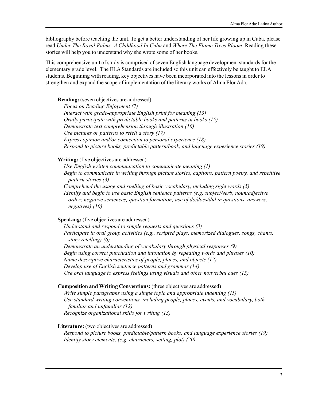bibliography before teaching the unit. To get a better understanding of her life growing up in Cuba, please read *Under The Royal Palms: A Childhood In Cuba* and *Where The Flame Trees Bloom*. Reading these stories will help you to understand why she wrote some of her books.

This comprehensive unit of study is comprised of seven English language development standards for the elementary grade level. The ELA Standards are included so this unit can effectively be taught to ELA students. Beginning with reading, key objectives have been incorporated into the lessons in order to strengthen and expand the scope of implementation of the literary works of Alma Flor Ada.

**Reading:** (seven objectives are addressed)

*Focus on Reading Enjoyment (7) Interact with grade-appropriate English print for meaning (13) Orally participate with predictable books and patterns in books (15) Demonstrate text comprehension through illustration (16) Use pictures or patterns to retell a story (17) Express opinion and/or connection to personal experience (18) Respond to picture books, predictable pattern/book, and language experience stories (19)*

### **Writing:** (five objectives are addressed)

*Use English written communication to communicate meaning (1) Begin to communicate in writing through picture stories, captions, pattern poetry, and repetitive pattern stories (3) Comprehend the usage and spelling of basic vocabulary, including sight words (5) Identify and begin to use basic English sentence patterns (e.g. subject/verb, noun/adjective order; negative sentences; question formation; use of do/does/did in questions, answers, negatives) (10)*

**Speaking:** (five objectives are addressed)

*Understand and respond to simple requests and questions (3) Participate in oral group activities (e.g., scripted plays, memorized dialogues, songs, chants, story retelling) (6) Demonstrate an understanding of vocabulary through physical responses (9) Begin using correct punctuation and intonation by repeating words and phrases (10) Name descriptive characteristics of people, places, and objects (12) Develop use of English sentence patterns and grammar (14) Use oral language to express feelings using visuals and other nonverbal cues (15)*

### **Composition and Writing Conventions:** (three objectives are addressed)

*Write simple paragraphs using a single topic and appropriate indenting (11) Use standard writing conventions, including people, places, events, and vocabulary, both familiar and unfamiliar (12) Recognize organizational skills for writing (13)*

### **Literature:** (two objectives are addressed)

*Respond to picture books, predictable/pattern books, and language experience stories (19) Identify story elements, (e.g. characters, setting, plot) (20)*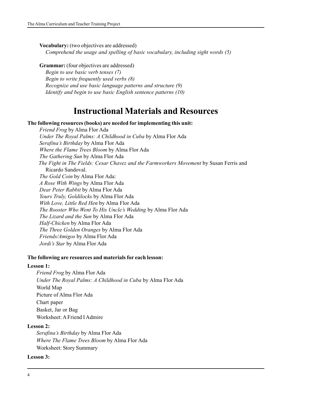**Vocabulary:** (two objectives are addressed) *Comprehend the usage and spelling of basic vocabulary, including sight words (5)*

**Grammar:** (four objectives are addressed) *Begin to use basic verb tenses (7) Begin to write frequently used verbs (8) Recognize and use basic language patterns and structure (9) Identify and begin to use basic English sentence patterns (10)*

# **Instructional Materials and Resources**

**The following resources (books) are needed for implementing this unit:**

*Friend Frog* by Alma Flor Ada *Under The Royal Palms: A Childhood in Cuba* by Alma Flor Ada *Serafina's Birthday* by Alma Flor Ada *Where the Flame Trees Bloom* by Alma Flor Ada *The Gathering Sun* by Alma Flor Ada *The Fight in The Fields: Cesar Chavez and the Farmworkers Movement* by Susan Ferris and Ricardo Sandoval. *The Gold Coin* by Alma Flor Ada: *A Rose With Wings* by Alma Flor Ada *Dear Peter Rabbit* by Alma Flor Ada *Yours Truly, Goldilocks* by Alma Flor Ada *With Love, Little Red Hen* by Alma Flor Ada *The Rooster Who Went To His Uncle's Wedding* by Alma Flor Ada *The Lizard and the Sun* by Alma Flor Ada *Half-Chicken* by Alma Flor Ada *The Three Golden Oranges* by Alma Flor Ada *Friends/Amigos* by Alma Flor Ada *Jordi's Star* by Alma Flor Ada

### **The following are resources and materials for each lesson:**

### **Lesson 1:**

*Friend Frog* by Alma Flor Ada *Under The Royal Palms: A Childhood in Cuba* by Alma Flor Ada World Map Picture of Alma Flor Ada Chart paper Basket, Jar or Bag Worksheet: A Friend I Admire

### **Lesson 2:**

*Serafina's Birthday* by Alma Flor Ada *Where The Flame Trees Bloom* by Alma Flor Ada Worksheet: Story Summary

### **Lesson 3:**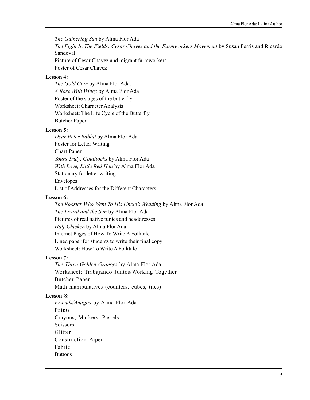*The Gathering Sun* by Alma Flor Ada

*The Fight In The Fields: Cesar Chavez and the Farmworkers Movement* by Susan Ferris and Ricardo Sandoval.

Picture of Cesar Chavez and migrant farmworkers Poster of Cesar Chavez

### **Lesson 4:**

*The Gold Coin* by Alma Flor Ada: *A Rose With Wings* by Alma Flor Ada Poster of the stages of the butterfly Worksheet: Character Analysis Worksheet: The Life Cycle of the Butterfly Butcher Paper

### **Lesson 5:**

*Dear Peter Rabbit* by Alma Flor Ada Poster for Letter Writing Chart Paper *Yours Truly, Goldilocks* by Alma Flor Ada *With Love, Little Red Hen* by Alma Flor Ada Stationary for letter writing Envelopes List of Addresses for the Different Characters

### **Lesson 6:**

*The Rooster Who Went To His Uncle's Wedding* by Alma Flor Ada *The Lizard and the Sun* by Alma Flor Ada Pictures of real native tunics and headdresses *Half-Chicken* by Alma Flor Ada Internet Pages of How To Write A Folktale Lined paper for students to write their final copy Worksheet: How To Write A Folktale

### **Lesson 7:**

*The Three Golden Oranges* by Alma Flor Ada Worksheet: Trabajando Juntos/Working Together Butcher Paper Math manipulatives (counters, cubes, tiles)

### **Lesson 8:**

*Friends/Amigos* by Alma Flor Ada Paints Crayons, Markers, Pastels **Scissors** Glitter Construction Paper Fabric **Buttons**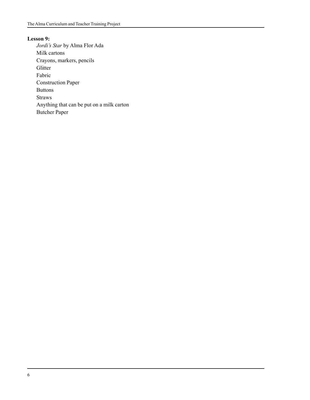### **Lesson 9:**

*Jordi's Star* by Alma Flor Ada Milk cartons Crayons, markers, pencils Glitter Fabric Construction Paper Buttons Straws Anything that can be put on a milk carton Butcher Paper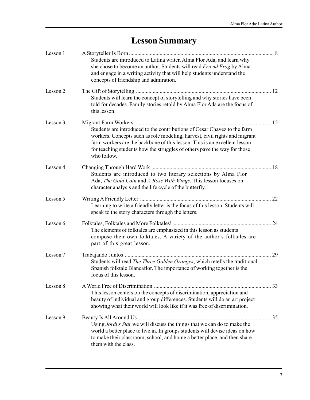# **Lesson Summary**

| Lesson 1: |                                                                                                                                                                                                                                                                                                                                |    |
|-----------|--------------------------------------------------------------------------------------------------------------------------------------------------------------------------------------------------------------------------------------------------------------------------------------------------------------------------------|----|
|           | Students are introduced to Latina writer, Alma Flor Ada, and learn why<br>she chose to become an author. Students will read Friend Frog by Alma<br>and engage in a writing activity that will help students understand the<br>concepts of friendship and admiration.                                                           |    |
| Lesson 2: | Students will learn the concept of storytelling and why stories have been<br>told for decades. Family stories retold by Alma Flor Ada are the focus of<br>this lesson.                                                                                                                                                         |    |
| Lesson 3: | Students are introduced to the contributions of Cesar Chavez to the farm<br>workers. Concepts such as role modeling, harvest, civil rights and migrant<br>farm workers are the backbone of this lesson. This is an excellent lesson<br>for teaching students how the struggles of others pave the way for those<br>who follow. |    |
| Lesson 4: | Students are introduced to two literary selections by Alma Flor<br>Ada, The Gold Coin and A Rose With Wings. This lesson focuses on<br>character analysis and the life cycle of the butterfly.                                                                                                                                 |    |
| Lesson 5: | Learning to write a friendly letter is the focus of this lesson. Students will<br>speak to the story characters through the letters.                                                                                                                                                                                           | 22 |
| Lesson 6: | The elements of folktales are emphasized in this lesson as students<br>compose their own folktales. A variety of the author's folktales are<br>part of this great lesson.                                                                                                                                                      | 24 |
| Lesson 7: | Students will read The Three Golden Oranges, which retells the traditional<br>Spanish folktale Blancaflor. The importance of working together is the<br>focus of this lesson.                                                                                                                                                  | 29 |
| Lesson 8: | This lesson centers on the concepts of discrimination, appreciation and<br>beauty of individual and group differences. Students will do an art project<br>showing what their world will look like if it was free of discrimination.                                                                                            |    |
| Lesson 9: | Using Jordi's Star we will discuss the things that we can do to make the<br>world a better place to live in. In groups students will devise ideas on how<br>to make their classroom, school, and home a better place, and then share<br>them with the class.                                                                   |    |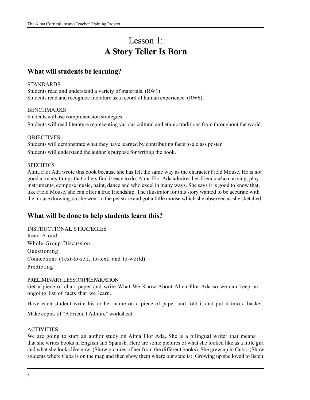# Lesson 1: **A Story Teller Is Born**

### **What will students be learning?**

### STANDARDS

Students read and understand a variety of materials. (RW1) Students read and recognize literature as a record of human experience. (RW6)

### **BENCHMARKS**

Students will use comprehension strategies.

Students will read literature representing various cultural and ethnic traditions from throughout the world.

### **OBJECTIVES**

Students will demonstrate what they have learned by contributing facts to a class poster. Students will understand the author's purpose for writing the book.

### **SPECIFICS**

Alma Flor Ada wrote this book because she has felt the same way as the character Field Mouse. He is not good at many things that others find it easy to do. Alma Flor Ada admires her friends who can sing, play instruments, compose music, paint, dance and who excel in many ways. She says it is good to know that, like Field Mouse, she can offer a true friendship. The illustrator for this story wanted to be accurate with the mouse drawing, so she went to the pet store and got a little mouse which she observed as she sketched.

### **What will be done to help students learn this?**

INSTRUCTIONAL STRATEGIES Read Aloud Whole-Group Discussion Questioning Connections (Text-to-self, to-text, and to-world) Predicting

### PRELIMINARY LESSON PREPARATION

Get a piece of chart paper and write What We Know About Alma Flor Ada so we can keep an ongoing list of facts that we learn.

Have each student write his or her name on a piece of paper and fold it and put it into a basket.

Make copies of "A Friend I Admire" worksheet.

### **ACTIVITIES**

We are going to start an author study on Alma Flor Ada. She is a bilingual writer that means that she writes books in English and Spanish. Here are some pictures of what she looked like as a little girl and what she looks like now. (Show pictures of her from the different books). She grew up in Cuba. (Show students where Cuba is on the map and then show them where our state is). Growing up she loved to listen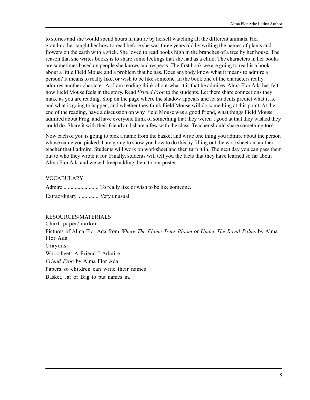to stories and she would spend hours in nature by herself watching all the different animals. Her grandmother taught her how to read before she was three years old by writing the names of plants and flowers on the earth with a stick. She loved to read books high in the branches of a tree by her house. The reason that she writes books is to share some feelings that she had as a child. The characters in her books are sometimes based on people she knows and respects. The first book we are going to read is a book about a little Field Mouse and a problem that he has. Does anybody know what it means to admire a person? It means to really like, or wish to be like someone. In the book one of the characters really admires another character. As I am reading think about what it is that he admires. Alma Flor Ada has felt how Field Mouse feels in the story. Read *Friend Frog* to the students. Let them share connections they make as you are reading. Stop on the page where the shadow appears and let students predict what it is, and what is going to happen, and whether they think Field Mouse will do something at this point. At the end of the reading, have a discussion on why Field Mouse was a good friend, what things Field Mouse admired about Frog, and have everyone think of something that they weren't good at that they wished they could do. Share it with their friend and share a few with the class. Teacher should share something too!

Now each of you is going to pick a name from the basket and write one thing you admire about the person whose name you picked. I am going to show you how to do this by filling out the worksheet on another teacher that I admire. Students will work on worksheet and then turn it in. The next day you can pass them out to who they wrote it for. Finally, students will tell you the facts that they have learned so far about Alma Flor Ada and we will keep adding them to our poster.

### VOCABULARY

Admire ......................... To really like or wish to be like someone. Extraordinary ............... Very unusual.

RESOURCES/MATERIALS Chart paper/marker Pictures of Alma Flor Ada from *Where The Flame Trees Bloom* or *Under The Royal Palms* by Alma Flor Ada Crayons Worksheet: A Friend I Admire *Friend Frog* by Alma Flor Ada Papers so children can write their names Basket, Jar or Bag to put names in.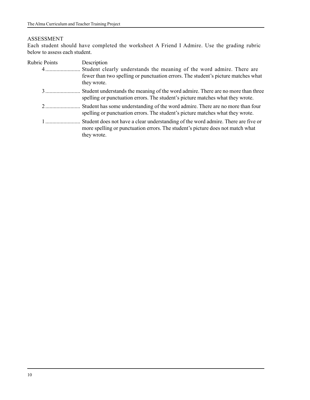### ASSESSMENT

Each student should have completed the worksheet A Friend I Admire. Use the grading rubric below to assess each student.

| <b>Rubric Points</b>                                                                                                                                                                                                                                                                                                               | Description                                                                                                                                                                        |
|------------------------------------------------------------------------------------------------------------------------------------------------------------------------------------------------------------------------------------------------------------------------------------------------------------------------------------|------------------------------------------------------------------------------------------------------------------------------------------------------------------------------------|
| $4$                                                                                                                                                                                                                                                                                                                                | Student clearly understands the meaning of the word admire. There are<br>fewer than two spelling or punctuation errors. The student's picture matches what<br>they wrote.          |
|                                                                                                                                                                                                                                                                                                                                    | Student understands the meaning of the word admire. There are no more than three<br>spelling or punctuation errors. The student's picture matches what they wrote.                 |
| $\overline{2}$ and $\overline{2}$ and $\overline{2}$ and $\overline{2}$ and $\overline{2}$ and $\overline{2}$ and $\overline{2}$ and $\overline{2}$ and $\overline{2}$ and $\overline{2}$ and $\overline{2}$ and $\overline{2}$ and $\overline{2}$ and $\overline{2}$ and $\overline{2}$ and $\overline{2}$ and $\overline{2}$ and | Student has some understanding of the word admire. There are no more than four<br>spelling or punctuation errors. The student's picture matches what they wrote.                   |
|                                                                                                                                                                                                                                                                                                                                    | Student does not have a clear understanding of the word admire. There are five or<br>more spelling or punctuation errors. The student's picture does not match what<br>they wrote. |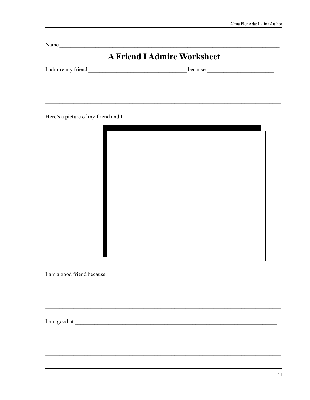| <b>A Friend I Admire Worksheet</b> |  |
|------------------------------------|--|
|                                    |  |
|                                    |  |
|                                    |  |

i<br>S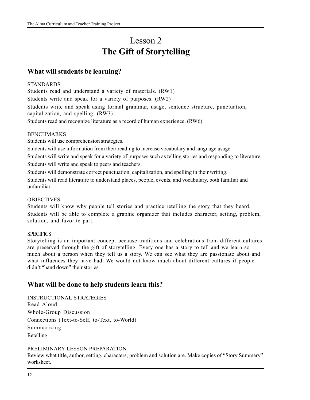# Lesson 2 **The Gift of Storytelling**

### **What will students be learning?**

### STANDARDS

Students read and understand a variety of materials. (RW1) Students write and speak for a variety of purposes. (RW2) Students write and speak using formal grammar, usage, sentence structure, punctuation, capitalization, and spelling. (RW3)

Students read and recognize literature as a record of human experience. (RW6)

### **BENCHMARKS**

Students will use comprehension strategies.

Students will use information from their reading to increase vocabulary and language usage.

Students will write and speak for a variety of purposes such as telling stories and responding to literature. Students will write and speak to peers and teachers.

Students will demonstrate correct punctuation, capitalization, and spelling in their writing.

Students will read literature to understand places, people, events, and vocabulary, both familiar and unfamiliar.

### **OBJECTIVES**

Students will know why people tell stories and practice retelling the story that they heard. Students will be able to complete a graphic organizer that includes character, setting, problem, solution, and favorite part.

### **SPECIFICS**

Storytelling is an important concept because traditions and celebrations from different cultures are preserved through the gift of storytelling. Every one has a story to tell and we learn so much about a person when they tell us a story. We can see what they are passionate about and what influences they have had. We would not know much about different cultures if people didn't "hand down" their stories.

### **What will be done to help students learn this?**

INSTRUCTIONAL STRATEGIES Read Aloud Whole-Group Discussion Connections (Text-to-Self, to-Text, to-World) Summarizing Retelling

### PRELIMINARY LESSON PREPARATION

Review what title, author, setting, characters, problem and solution are. Make copies of "Story Summary" worksheet.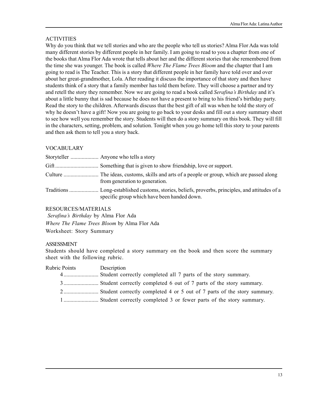### ACTIVITIES

Why do you think that we tell stories and who are the people who tell us stories? Alma Flor Ada was told many different stories by different people in her family. I am going to read to you a chapter from one of the books that Alma Flor Ada wrote that tells about her and the different stories that she remembered from the time she was younger. The book is called *Where The Flame Trees Bloom* and the chapter that I am going to read is The Teacher. This is a story that different people in her family have told over and over about her great-grandmother, Lola. After reading it discuss the importance of that story and then have students think of a story that a family member has told them before. They will choose a partner and try and retell the story they remember. Now we are going to read a book called *Serafina's Birthday* and it's about a little bunny that is sad because he does not have a present to bring to his friend's birthday party. Read the story to the children. Afterwards discuss that the best gift of all was when he told the story of why he doesn't have a gift! Now you are going to go back to your desks and fill out a story summary sheet to see how well you remember the story. Students will then do a story summary on this book. They will fill in the characters, setting, problem, and solution. Tonight when you go home tell this story to your parents and then ask them to tell you a story back.

### VOCABULARY

| from generation to generation.              |
|---------------------------------------------|
| specific group which have been handed down. |

### RESOURCES/MATERIALS

*Serafina's Birthday* by Alma Flor Ada *Where The Flame Trees Bloom* by Alma Flor Ada Worksheet: Story Summary

### ASSESSMENT

Students should have completed a story summary on the book and then score the summary sheet with the following rubric.

Rubric Points Description

4 ......................... Student correctly completed all 7 parts of the story summary.

3 ......................... Student correctly completed 6 out of 7 parts of the story summary.

2 ......................... Student correctly completed 4 or 5 out of 7 parts of the story summary.

1 ......................... Student correctly completed 3 or fewer parts of the story summary.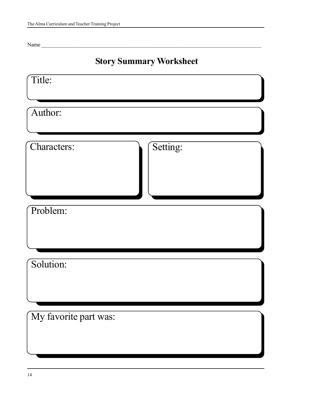Name \_\_\_\_\_\_\_\_\_\_\_\_\_\_\_\_\_\_\_\_\_\_\_\_\_\_\_\_\_\_\_\_\_\_\_\_\_\_\_\_\_\_\_\_\_\_\_\_\_\_\_\_\_\_\_\_\_\_\_\_\_\_\_\_\_\_\_\_\_\_\_\_\_\_\_\_\_\_\_

# **Story Summary Worksheet**

| Title:                |          |
|-----------------------|----------|
| Author:               |          |
| Characters:           | Setting: |
| Problem:              |          |
| Solution:             |          |
| My favorite part was: |          |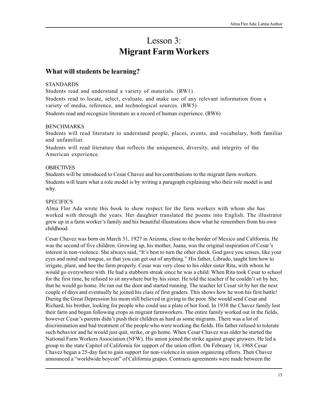# Lesson 3: **Migrant Farm Workers**

### **What will students be learning?**

### **STANDARDS**

Students read and understand a variety of materials. (RW1) Students read to locate, select, evaluate, and make use of any relevant information from a variety of media, reference, and technological sources. (RW5) Students read and recognize literature as a record of human experience. (RW6)

### BENCHMARKS

Students will read literature to understand people, places, events, and vocabulary, both familiar and unfamiliar.

Students will read literature that reflects the uniqueness, diversity, and integrity of the American experience.

### **OBJECTIVES**

Students will be introduced to Cesar Chavez and his contributions to the migrant farm workers. Students will learn what a role model is by writing a paragraph explaining who their role model is and why.

### **SPECIFICS**

Alma Flor Ada wrote this book to show respect for the farm workers with whom she has worked with through the years. Her daughter translated the poems into English. The illustrator grew up in a farm worker's family and his beautiful illustrations show what he remembers from his own childhood.

Cesar Chavez was born on March 31, 1927 in Arizona, close to the border of Mexico and California. He was the second of five children. Growing up, his mother, Juana, was the original inspiration of Cesar's interest in non-violence. She always said, "It's best to turn the other cheek. God gave you senses, like your eyes and mind and tongue, so that you can get out of anything." His father, Librado, taught him how to irrigate, plant, and hoe the farm properly. Cesar was very close to his older sister Rita, with whom he would go everywhere with. He had a stubborn streak since he was a child. When Rita took Cesar to school for the first time, he refused to sit anywhere but by his sister. He told the teacher if he couldn't sit by her, that he would go home. He ran out the door and started running. The teacher let Cesar sit by her the next couple of days and eventually he joined his class of first graders. This shows how he won his first battle! During the Great Depression his mom still believed in giving to the poor. She would send Cesar and Richard, his brother, looking for people who could use a plate of hot food. In 1938 the Chavez family lost their farm and began following crops as migrant farmworkers. The entire family worked out in the fields, however Cesar's parents didn't push their children as hard as some migrants. There was a lot of discrimination and bad treatment of the people who were working the fields. His father refused to tolerate such behavior and he would just quit, strike, or go home. When Cesar Chavez was older he started the National Farm Workers Association (NFW). His union joined the strike against grape growers. He led a group to the state Capitol of California for support of the union effort. On February 14, 1968 Cesar Chavez began a 25-day fast to gain support for non-violence in union organizing efforts. Then Chavez announced a "worldwide boycott" of California grapes. Contracts agreements were made between the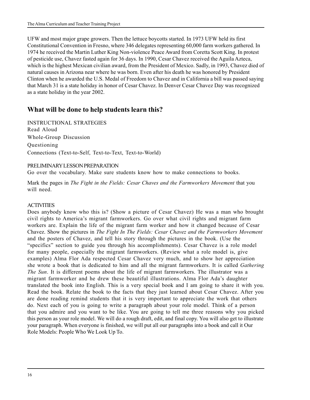UFW and most major grape growers. Then the lettuce boycotts started. In 1973 UFW held its first Constitutional Convention in Fresno, where 346 delegates representing 60,000 farm workers gathered. In 1974 he received the Martin Luther King Non-violence Peace Award from Coretta Scott King. In protest of pesticide use, Chavez fasted again for 36 days. In 1990, Cesar Chavez received the Aguila Azteca, which is the highest Mexican civilian award, from the President of Mexico. Sadly, in 1993, Chavez died of natural causes in Arizona near where he was born. Even after his death he was honored by President Clinton when he awarded the U.S. Medal of Freedom to Chavez and in California a bill was passed saying that March 31 is a state holiday in honor of Cesar Chavez. In Denver Cesar Chavez Day was recognized as a state holiday in the year 2002.

### **What will be done to help students learn this?**

INSTRUCTIONAL STRATEGIES Read Aloud Whole-Group Discussion Questioning Connections (Text-to-Self, Text-to-Text, Text-to-World)

### PRELIMINARY LESSON PREPARATION

Go over the vocabulary. Make sure students know how to make connections to books.

Mark the pages in *The Fight in the Fields: Cesar Chaves and the Farmworkers Movement* that you will need.

### **ACTIVITIES**

Does anybody know who this is? (Show a picture of Cesar Chavez) He was a man who brought civil rights to America's migrant farmworkers. Go over what civil rights and migrant farm workers are. Explain the life of the migrant farm worker and how it changed because of Cesar Chavez. Show the pictures in *The Fight In The Fields: Cesar Chavez and the Farmworkers Movement* and the posters of Chavez, and tell his story through the pictures in the book. (Use the "specifics" section to guide you through his accomplishments). Cesar Chavez is a role model for many people, especially the migrant farmworkers. (Review what a role model is, give examples) Alma Flor Ada respected Cesar Chavez very much, and to show her appreciation she wrote a book that is dedicated to him and all the migrant farmworkers. It is called *Gathering The Sun*. It is different poems about the life of migrant farmworkers. The illustrator was a migrant farmworker and he drew these beautiful illustrations. Alma Flor Ada's daughter translated the book into English. This is a very special book and I am going to share it with you. Read the book. Relate the book to the facts that they just learned about Cesar Chavez. After you are done reading remind students that it is very important to appreciate the work that others do. Next each of you is going to write a paragraph about your role model. Think of a person that you admire and you want to be like. You are going to tell me three reasons why you picked this person as your role model. We will do a rough draft, edit, and final copy. You will also get to illustrate your paragraph. When everyone is finished, we will put all our paragraphs into a book and call it Our Role Models: People Who We Look Up To.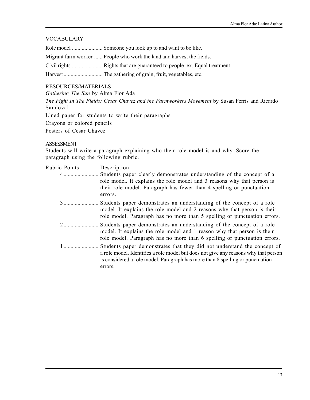### VOCABULARY

Role model ...................... Someone you look up to and want to be like.

Migrant farm worker ...... People who work the land and harvest the fields.

Civil rights ...................... Rights that are guaranteed to people, ex. Equal treatment,

Harvest ............................ The gathering of grain, fruit, vegetables, etc.

### RESOURCES/MATERIALS

*Gathering The Sun* by Alma Flor Ada

*The Fight In The Fields: Cesar Chavez and the Farmworkers Movement* by Susan Ferris and Ricardo Sandoval

Lined paper for students to write their paragraphs

Crayons or colored pencils

Posters of Cesar Chavez

### ASSESSMENT

Students will write a paragraph explaining who their role model is and why. Score the paragraph using the following rubric.

| <b>Rubric Points</b> | Description |
|----------------------|-------------|

- 4 ......................... Students paper clearly demonstrates understanding of the concept of a role model. It explains the role model and 3 reasons why that person is their role model. Paragraph has fewer than 4 spelling or punctuation errors.
- 3 ......................... Students paper demonstrates an understanding of the concept of a role model. It explains the role model and 2 reasons why that person is their role model. Paragraph has no more than 5 spelling or punctuation errors.
- 2 ......................... Students paper demonstrates an understanding of the concept of a role model. It explains the role model and 1 reason why that person is their role model. Paragraph has no more than 6 spelling or punctuation errors.
- 1 ......................... Students paper demonstrates that they did not understand the concept of a role model. Identifies a role model but does not give any reasons why that person is considered a role model. Paragraph has more than 8 spelling or punctuation errors.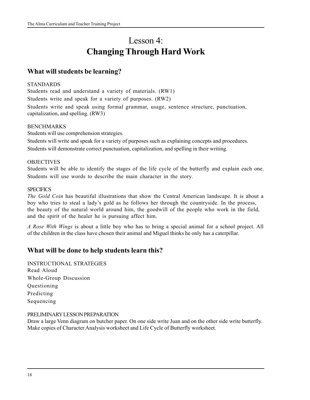# Lesson 4: **Changing Through Hard Work**

### **What will students be learning?**

### STANDARDS

Students read and understand a variety of materials. (RW1) Students write and speak for a variety of purposes. (RW2) Students write and speak using formal grammar, usage, sentence structure, punctuation, capitalization, and spelling. (RW3)

### BENCHMARKS

Students will use comprehension strategies.

Students will write and speak for a variety of purposes such as explaining concepts and procedures. Students will demonstrate correct punctuation, capitalization, and spelling in their writing.

### **OBJECTIVES**

Students will be able to identify the stages of the life cycle of the butterfly and explain each one. Students will use words to describe the main character in the story.

### **SPECIFICS**

*The Gold Coin* has beautiful illustrations that show the Central American landscape. It is about a boy who tries to steal a lady's gold as he follows her through the countryside. In the process, the beauty of the natural world around him, the goodwill of the people who work in the field, and the spirit of the healer he is pursuing affect him.

*A Rose With Wings* is about a little boy who has to bring a special animal for a school project. All of the children in the class have chosen their animal and Miguel thinks he only has a caterpillar.

### **What will be done to help students learn this?**

INSTRUCTIONAL STRATEGIES Read Aloud Whole-Group Discussion Questioning Predicting Sequencing

### PRELIMINARY LESSON PREPARATION

Draw a large Venn diagram on butcher paper. On one side write Juan and on the other side write butterfly. Make copies of Character Analysis worksheet and Life Cycle of Butterfly worksheet.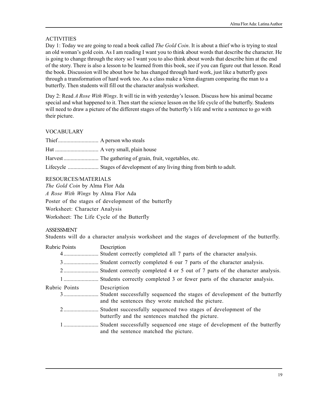### **ACTIVITIES**

Day 1: Today we are going to read a book called *The Gold Coin*. It is about a thief who is trying to steal an old woman's gold coin. As I am reading I want you to think about words that describe the character. He is going to change through the story so I want you to also think about words that describe him at the end of the story. There is also a lesson to be learned from this book, see if you can figure out that lesson. Read the book. Discussion will be about how he has changed through hard work, just like a butterfly goes through a transformation of hard work too. As a class make a Venn diagram comparing the man to a butterfly. Then students will fill out the character analysis worksheet.

Day 2: Read *A Rose With Wings*. It will tie in with yesterday's lesson. Discuss how his animal became special and what happened to it. Then start the science lesson on the life cycle of the butterfly. Students will need to draw a picture of the different stages of the butterfly's life and write a sentence to go with their picture.

### VOCABULARY

### RESOURCES/MATERIALS

*The Gold Coin* by Alma Flor Ada *A Rose With Wings* by Alma Flor Ada Poster of the stages of development of the butterfly Worksheet: Character Analysis Worksheet: The Life Cycle of the Butterfly

### ASSESSMENT

Students will do a character analysis worksheet and the stages of development of the butterfly.

| Rubric Points | Description                                                                                                                    |
|---------------|--------------------------------------------------------------------------------------------------------------------------------|
|               |                                                                                                                                |
|               | Student correctly completed 6 our 7 parts of the character analysis.                                                           |
|               | Student correctly completed 4 or 5 out of 7 parts of the character analysis.                                                   |
| $1$           | Students correctly completed 3 or fewer parts of the character analysis.                                                       |
| Rubric Points | Description                                                                                                                    |
| $3$           | Student successfully sequenced the stages of development of the butterfly<br>and the sentences they wrote matched the picture. |
|               | Student successfully sequenced two stages of development of the<br>butterfly and the sentences matched the picture.            |
| $1 - 1 - 1$   | Student successfully sequenced one stage of development of the butterfly<br>and the sentence matched the picture.              |
|               |                                                                                                                                |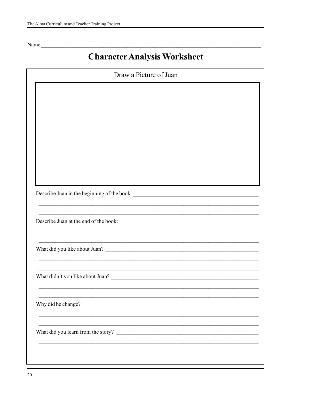Name

# **Character Analysis Worksheet**

| Draw a Picture of Juan             |
|------------------------------------|
|                                    |
|                                    |
|                                    |
|                                    |
|                                    |
|                                    |
|                                    |
|                                    |
|                                    |
|                                    |
|                                    |
|                                    |
|                                    |
|                                    |
|                                    |
| What did you like about Juan?      |
|                                    |
|                                    |
|                                    |
|                                    |
| Why did he change?                 |
|                                    |
|                                    |
| What did you learn from the story? |
|                                    |
|                                    |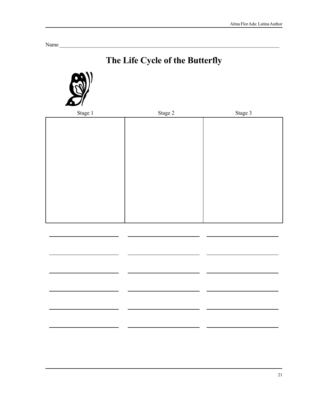Name \_\_\_\_\_\_\_\_\_\_\_\_\_\_\_\_\_\_\_\_\_\_\_\_\_\_\_\_\_\_\_\_\_\_\_\_\_\_\_\_\_\_\_\_\_\_\_\_\_\_\_\_\_\_\_\_\_\_\_\_\_\_\_\_\_\_\_\_\_\_\_\_\_\_\_\_\_\_\_

# **The Life Cycle of the Butterfly**

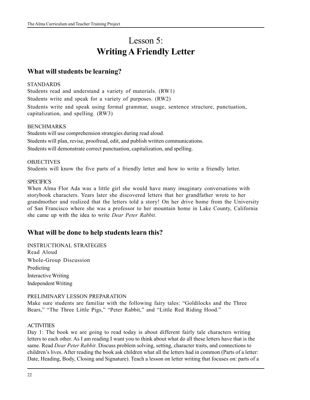# Lesson 5: **Writing A Friendly Letter**

### **What will students be learning?**

### STANDARDS

Students read and understand a variety of materials. (RW1) Students write and speak for a variety of purposes. (RW2) Students write and speak using formal grammar, usage, sentence structure, punctuation, capitalization, and spelling. (RW3)

### BENCHMARKS

Students will use comprehension strategies during read aloud. Students will plan, revise, proofread, edit, and publish written communications. Students will demonstrate correct punctuation, capitalization, and spelling.

### **OBJECTIVES**

Students will know the five parts of a friendly letter and how to write a friendly letter.

### **SPECIFICS**

When Alma Flor Ada was a little girl she would have many imaginary conversations with storybook characters. Years later she discovered letters that her grandfather wrote to her grandmother and realized that the letters told a story! On her drive home from the University of San Francisco where she was a professor to her mountain home in Lake County, California she came up with the idea to write *Dear Peter Rabbit*.

### **What will be done to help students learn this?**

INSTRUCTIONAL STRATEGIES Read Aloud Whole-Group Discussion Predicting Interactive Writing Independent Writing

### PRELIMINARY LESSON PREPARATION

Make sure students are familiar with the following fairy tales: "Goldilocks and the Three Bears," "The Three Little Pigs," "Peter Rabbit," and "Little Red Riding Hood."

### **ACTIVITIES**

Day 1: The book we are going to read today is about different fairly tale characters writing letters to each other. As I am reading I want you to think about what do all these letters have that is the same. Read *Dear Peter Rabbit*. Discuss problem solving, setting, character traits, and connections to children's lives. After reading the book ask children what all the letters had in common (Parts of a letter: Date, Heading, Body, Closing and Signature). Teach a lesson on letter writing that focuses on: parts of a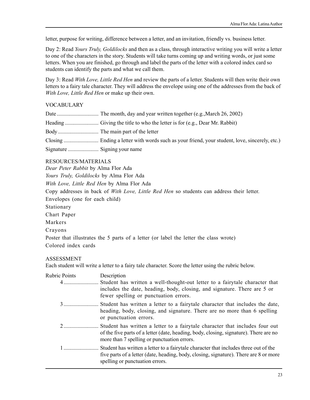letter, purpose for writing, difference between a letter, and an invitation, friendly vs. business letter.

Day 2: Read *Yours Truly, Goldilocks* and then as a class, through interactive writing you will write a letter to one of the characters in the story. Students will take turns coming up and writing words, or just some letters. When you are finished, go through and label the parts of the letter with a colored index card so students can identify the parts and what we call them.

Day 3: Read *With Love, Little Red Hen* and review the parts of a letter. Students will then write their own letters to a fairy tale character. They will address the envelope using one of the addresses from the back of *With Love, Little Red Hen* or make up their own.

### VOCABULARY

### RESOURCES/MATERIALS

*Dear Peter Rabbit* by Alma Flor Ada

*Yours Truly, Goldilocks* by Alma Flor Ada

*With Love, Little Red Hen* by Alma Flor Ada

Copy addresses in back of *With Love, Little Red Hen* so students can address their letter.

Envelopes (one for each child)

Stationary

Chart Paper

Markers

Crayons

Poster that illustrates the 5 parts of a letter (or label the letter the class wrote) Colored index cards

### ASSESSMENT

Each student will write a letter to a fairy tale character. Score the letter using the rubric below.

| <b>Rubric Points</b>                                                                                                                                                                                                                                                                                                               | Description                                                                                                                                                                                                          |
|------------------------------------------------------------------------------------------------------------------------------------------------------------------------------------------------------------------------------------------------------------------------------------------------------------------------------------|----------------------------------------------------------------------------------------------------------------------------------------------------------------------------------------------------------------------|
| $4$                                                                                                                                                                                                                                                                                                                                | Student has written a well-thought-out letter to a fairytale character that<br>includes the date, heading, body, closing, and signature. There are 5 or<br>fewer spelling or punctuation errors.                     |
| $\overline{3}$                                                                                                                                                                                                                                                                                                                     | Student has written a letter to a fairytale character that includes the date,<br>heading, body, closing, and signature. There are no more than 6 spelling<br>or punctuation errors.                                  |
| $\overline{2}$ and $\overline{2}$ and $\overline{2}$ and $\overline{2}$ and $\overline{2}$ and $\overline{2}$ and $\overline{2}$ and $\overline{2}$ and $\overline{2}$ and $\overline{2}$ and $\overline{2}$ and $\overline{2}$ and $\overline{2}$ and $\overline{2}$ and $\overline{2}$ and $\overline{2}$ and $\overline{2}$ and | Student has written a letter to a fairytale character that includes four out<br>of the five parts of a letter (date, heading, body, closing, signature). There are no<br>more than 7 spelling or punctuation errors. |
|                                                                                                                                                                                                                                                                                                                                    | Student has written a letter to a fairytale character that includes three out of the<br>five parts of a letter (date, heading, body, closing, signature). There are 8 or more<br>spelling or punctuation errors.     |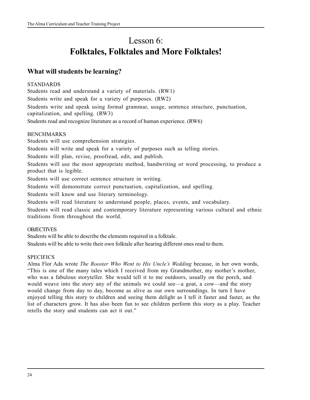# Lesson 6: **Folktales, Folktales and More Folktales!**

### **What will students be learning?**

### STANDARDS

Students read and understand a variety of materials. (RW1)

Students write and speak for a variety of purposes. (RW2)

Students write and speak using formal grammar, usage, sentence structure, punctuation, capitalization, and spelling. (RW3)

Students read and recognize literature as a record of human experience. (RW6)

### **BENCHMARKS**

Students will use comprehension strategies.

Students will write and speak for a variety of purposes such as telling stories.

Students will plan, revise, proofread, edit, and publish.

Students will use the most appropriate method, handwriting or word processing, to produce a product that is legible.

Students will use correct sentence structure in writing.

Students will demonstrate correct punctuation, capitalization, and spelling.

Students will know and use literary terminology.

Students will read literature to understand people, places, events, and vocabulary.

Students will read classic and contemporary literature representing various cultural and ethnic traditions from throughout the world.

### **OBJECTIVES**

Students will be able to describe the elements required in a folktale.

Students will be able to write their own folktale after hearing different ones read to them.

### **SPECIFICS**

Alma Flor Ada wrote *The Rooster Who Went to His Uncle's Wedding* because, in her own words, "This is one of the many tales which I received from my Grandmother, my mother's mother, who was a fabulous storyteller. She would tell it to me outdoors, usually on the porch, and would weave into the story any of the animals we could see—a goat, a cow—and the story would change from day to day, become as alive as our own surroundings. In turn I have enjoyed telling this story to children and seeing them delight as I tell it faster and faster, as the list of characters grow. It has also been fun to see children perform this story as a play. Teacher retells the story and students can act it out."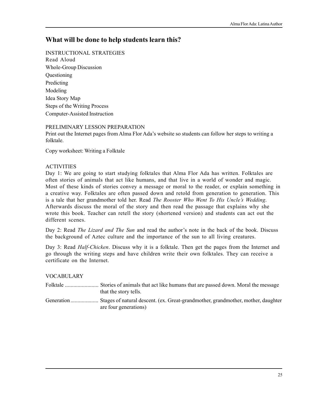### **What will be done to help students learn this?**

INSTRUCTIONAL STRATEGIES Read Aloud Whole-Group Discussion Questioning Predicting Modeling Idea Story Map Steps of the Writing Process Computer-Assisted Instruction

### PRELIMINARY LESSON PREPARATION

Print out the Internet pages from Alma Flor Ada's website so students can follow her steps to writing a folktale.

Copy worksheet: Writing a Folktale

### **ACTIVITIES**

Day 1: We are going to start studying folktales that Alma Flor Ada has written. Folktales are often stories of animals that act like humans, and that live in a world of wonder and magic. Most of these kinds of stories convey a message or moral to the reader, or explain something in a creative way. Folktales are often passed down and retold from generation to generation. This is a tale that her grandmother told her. Read *The Rooster Who Went To His Uncle's Wedding*. Afterwards discuss the moral of the story and then read the passage that explains why she wrote this book. Teacher can retell the story (shortened version) and students can act out the different scenes.

Day 2: Read *The Lizard and The Sun* and read the author's note in the back of the book. Discuss the background of Aztec culture and the importance of the sun to all living creatures.

Day 3: Read *Half-Chicken*. Discuss why it is a folktale. Then get the pages from the Internet and go through the writing steps and have children write their own folktales. They can receive a certificate on the Internet.

### VOCABULARY

| that the story tells. |
|-----------------------|

Generation.................... Stages of natural descent. (ex. Great-grandmother, grandmother, mother, daughter are four generations)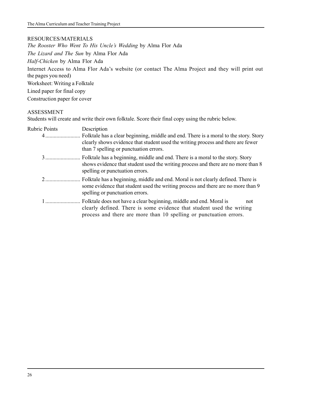### RESOURCES/MATERIALS

*The Rooster Who Went To His Uncle's Wedding* by Alma Flor Ada

*The Lizard and The Sun* by Alma Flor Ada

*Half-Chicken* by Alma Flor Ada

Internet Access to Alma Flor Ada's website (or contact The Alma Project and they will print out the pages you need)

Worksheet: Writing a Folktale

Lined paper for final copy

Construction paper for cover

### ASSESSMENT

Students will create and write their own folktale. Score their final copy using the rubric below.

| Description<br><b>Rubric Points</b><br>Folktale has a clear beginning, middle and end. There is a moral to the story. Story<br>$4$<br>clearly shows evidence that student used the writing process and there are fewer<br>than 7 spelling or punctuation errors. |                                                                                                                                                                                                                          |
|------------------------------------------------------------------------------------------------------------------------------------------------------------------------------------------------------------------------------------------------------------------|--------------------------------------------------------------------------------------------------------------------------------------------------------------------------------------------------------------------------|
|                                                                                                                                                                                                                                                                  | shows evidence that student used the writing process and there are no more than 8<br>spelling or punctuation errors.                                                                                                     |
| $\overline{2}$                                                                                                                                                                                                                                                   | Folktale has a beginning, middle and end. Moral is not clearly defined. There is<br>some evidence that student used the writing process and there are no more than 9<br>spelling or punctuation errors.                  |
|                                                                                                                                                                                                                                                                  | Folktale does not have a clear beginning, middle and end. Moral is<br>not<br>clearly defined. There is some evidence that student used the writing<br>process and there are more than 10 spelling or punctuation errors. |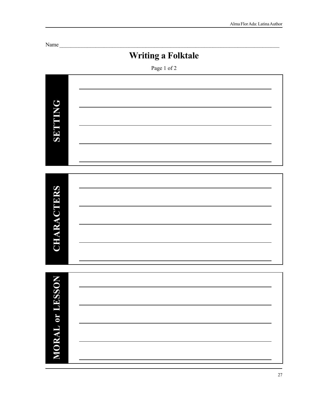```
Name
```
**Writing a Folktale**

Page 1 of 2

| $\mathbf G$       |  |
|-------------------|--|
| <b>SETTIN</b>     |  |
|                   |  |
|                   |  |
|                   |  |
|                   |  |
|                   |  |
| <b>CHARACTERS</b> |  |
|                   |  |
|                   |  |
|                   |  |
|                   |  |
|                   |  |
| <b>LESSON</b>     |  |
|                   |  |
| MORAL or          |  |
|                   |  |
|                   |  |
|                   |  |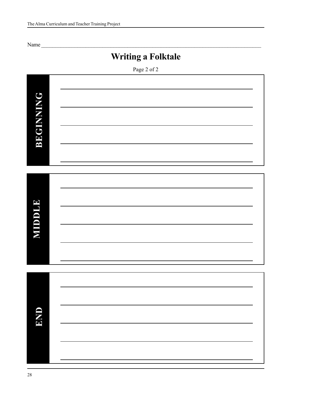Name \_\_\_\_\_\_\_\_\_\_\_\_\_\_\_\_\_\_\_\_\_\_\_\_\_\_\_\_\_\_\_\_\_\_\_\_\_\_\_\_\_\_\_\_\_\_\_\_\_\_\_\_\_\_\_\_\_\_\_\_\_\_\_\_\_\_\_\_\_\_\_\_\_\_\_\_\_\_\_

# **Writing a Folktale**

Page 2 of 2

| BEGINNING      |  |
|----------------|--|
|                |  |
|                |  |
|                |  |
|                |  |
|                |  |
|                |  |
|                |  |
|                |  |
|                |  |
|                |  |
|                |  |
|                |  |
|                |  |
|                |  |
|                |  |
|                |  |
|                |  |
|                |  |
|                |  |
|                |  |
|                |  |
|                |  |
|                |  |
|                |  |
|                |  |
|                |  |
|                |  |
|                |  |
|                |  |
|                |  |
|                |  |
|                |  |
| <b>NIDDIAE</b> |  |
|                |  |
|                |  |
|                |  |
|                |  |
|                |  |
|                |  |
|                |  |
|                |  |
|                |  |
|                |  |
|                |  |
|                |  |
|                |  |
|                |  |
|                |  |
|                |  |
|                |  |
|                |  |
|                |  |
|                |  |
|                |  |
|                |  |
|                |  |
|                |  |
|                |  |
| <b>TNP</b>     |  |
|                |  |
|                |  |
|                |  |
|                |  |
|                |  |
|                |  |
|                |  |
|                |  |
|                |  |
|                |  |
|                |  |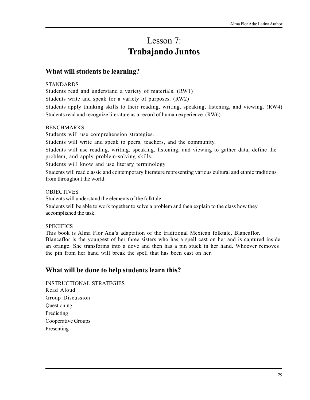# Lesson 7: **Trabajando Juntos**

### **What will students be learning?**

### **STANDARDS**

Students read and understand a variety of materials. (RW1)

Students write and speak for a variety of purposes. (RW2)

Students apply thinking skills to their reading, writing, speaking, listening, and viewing. (RW4) Students read and recognize literature as a record of human experience. (RW6)

### **BENCHMARKS**

Students will use comprehension strategies.

Students will write and speak to peers, teachers, and the community.

Students will use reading, writing, speaking, listening, and viewing to gather data, define the problem, and apply problem-solving skills.

Students will know and use literary terminology.

Students will read classic and contemporary literature representing various cultural and ethnic traditions from throughout the world.

### **OBJECTIVES**

Students will understand the elements of the folktale.

Students will be able to work together to solve a problem and then explain to the class how they accomplished the task.

### **SPECIFICS**

This book is Alma Flor Ada's adaptation of the traditional Mexican folktale, Blancaflor. Blancaflor is the youngest of her three sisters who has a spell cast on her and is captured inside an orange. She transforms into a dove and then has a pin stuck in her hand. Whoever removes the pin from her hand will break the spell that has been cast on her.

### **What will be done to help students learn this?**

INSTRUCTIONAL STRATEGIES Read Aloud Group Discussion Questioning Predicting Cooperative Groups Presenting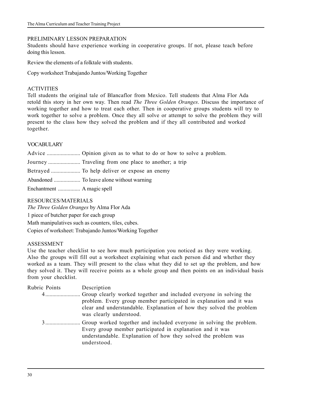### PRELIMINARY LESSON PREPARATION

Students should have experience working in cooperative groups. If not, please teach before doing this lesson.

Review the elements of a folktale with students.

Copy worksheet Trabajando Juntos/Working Together

### ACTIVITIES

Tell students the original tale of Blancaflor from Mexico. Tell students that Alma Flor Ada retold this story in her own way. Then read *The Three Golden Oranges*. Discuss the importance of working together and how to treat each other. Then in cooperative groups students will try to work together to solve a problem. Once they all solve or attempt to solve the problem they will present to the class how they solved the problem and if they all contributed and worked together.

### VOCABULARY

Advice ........................ Opinion given as to what to do or how to solve a problem.

Journey ....................... Traveling from one place to another; a trip

Betrayed ..................... To help deliver or expose an enemy

Abandoned ................... To leave alone without warning

Enchantment ................ A magic spell

### RESOURCES/MATERIALS

*The Three Golden Oranges* by Alma Flor Ada

1 piece of butcher paper for each group

Math manipulatives such as counters, tiles, cubes.

Copies of worksheet: Trabajando Juntos/Working Together

### ASSESSMENT

Use the teacher checklist to see how much participation you noticed as they were working. Also the groups will fill out a worksheet explaining what each person did and whether they worked as a team. They will present to the class what they did to set up the problem, and how they solved it. They will receive points as a whole group and then points on an individual basis from your checklist.

| Rubric Points | Description                                                                                                                                                           |
|---------------|-----------------------------------------------------------------------------------------------------------------------------------------------------------------------|
|               | problem. Every group member participated in explanation and it was<br>clear and understandable. Explanation of how they solved the problem<br>was clearly understood. |
|               | Every group member participated in explanation and it was<br>understandable. Explanation of how they solved the problem was<br>understood.                            |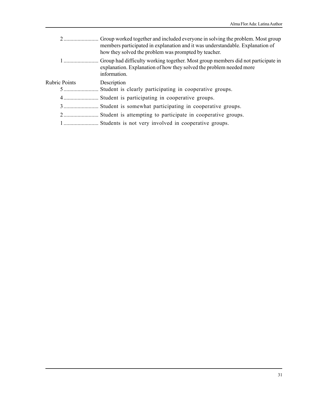- 2 ......................... Group worked together and included everyone in solving the problem. Most group members participated in explanation and it was understandable. Explanation of how they solved the problem was prompted by teacher.
- 1 ......................... Group had difficulty working together. Most group members did not participate in explanation. Explanation of how they solved the problem needed more information.

### Rubric Points Description

5 ......................... Student is clearly participating in cooperative groups.

- 4 ......................... Student is participating in cooperative groups.
- 3 ......................... Student is somewhat participating in cooperative groups.
- 2 ......................... Student is attempting to participate in cooperative groups.
- 1 ......................... Students is not very involved in cooperative groups.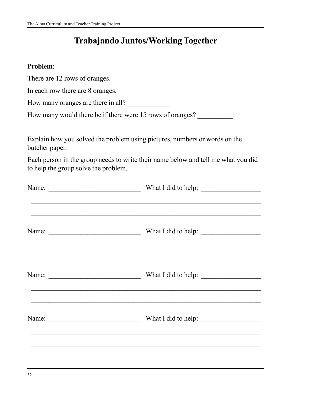# **Trabajando Juntos/Working Together**

### **Problem**:

|  | There are 12 rows of oranges. |
|--|-------------------------------|
|--|-------------------------------|

In each row there are 8 oranges.

| How many oranges are there in all? |  |
|------------------------------------|--|
|------------------------------------|--|

How many would there be if there were 15 rows of oranges?

Explain how you solved the problem using pictures, numbers or words on the butcher paper.

Each person in the group needs to write their name below and tell me what you did to help the group solve the problem.

| <u> 2000 - Andrea Santa Alemania, amerikan bahasa dan berasal dalam berasal dalam berasal dalam berasal dalam ber</u>   |
|-------------------------------------------------------------------------------------------------------------------------|
| <u> 1989 - Johann John Stone, market fan de Amerikaanske kommunister fan de Amerikaanske kommunister fan de Amerika</u> |
|                                                                                                                         |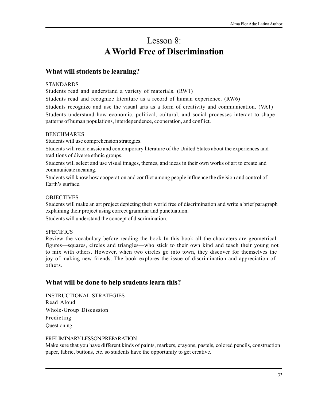# Lesson 8: **A World Free of Discrimination**

### **What will students be learning?**

### STANDARDS

Students read and understand a variety of materials. (RW1)

Students read and recognize literature as a record of human experience. (RW6)

Students recognize and use the visual arts as a form of creativity and communication. (VA1) Students understand how economic, political, cultural, and social processes interact to shape patterns of human populations, interdependence, cooperation, and conflict.

### BENCHMARKS

Students will use comprehension strategies.

Students will read classic and contemporary literature of the United States about the experiences and traditions of diverse ethnic groups.

Students will select and use visual images, themes, and ideas in their own works of art to create and communicate meaning.

Students will know how cooperation and conflict among people influence the division and control of Earth's surface.

### **OBJECTIVES**

Students will make an art project depicting their world free of discrimination and write a brief paragraph explaining their project using correct grammar and punctuatuon.

Students will understand the concept of discrimination.

### **SPECIFICS**

Review the vocabulary before reading the book In this book all the characters are geometrical figures—squares, circles and triangles—who stick to their own kind and teach their young not to mix with others. However, when two circles go into town, they discover for themselves the joy of making new friends. The book explores the issue of discrimination and appreciation of others.

### **What will be done to help students learn this?**

INSTRUCTIONAL STRATEGIES Read Aloud Whole-Group Discussion Predicting Questioning

### PRELIMINARY LESSON PREPARATION

Make sure that you have different kinds of paints, markers, crayons, pastels, colored pencils, construction paper, fabric, buttons, etc. so students have the opportunity to get creative.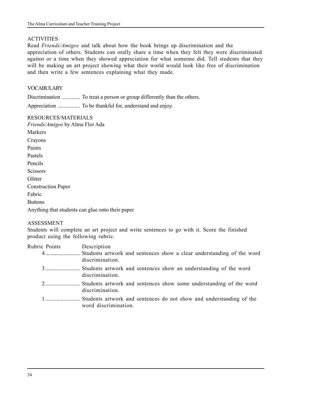### ACTIVITIES

Read *Friends/Amigos* and talk about how the book brings up discrimination and the appreciation of others. Students can orally share a time when they felt they were discriminated against or a time when they showed appreciation for what someone did. Tell students that they will be making an art project showing what their world would look like free of discrimination and then write a few sentences explaining what they made.

### **VOCABULARY**

Discrimination ............. To treat a person or group differently than the others.

Appreciation ................ To be thankful for, understand and enjoy.

### RESOURCES/MATERIALS

*Friends/Amigos* by Alma Flor Ada Markers Crayons Paints Pastels Pencils **Scissors Glitter** Construction Paper Fabric **Buttons** 

Anything that students can glue onto their paper

### ASSESSMENT

Students will complete an art project and write sentences to go with it. Score the finished product using the following rubric.

| Rubric Points | Description          |
|---------------|----------------------|
|               | discrimination.      |
|               | discrimination.      |
|               | discrimination.      |
|               | word discrimination. |
|               |                      |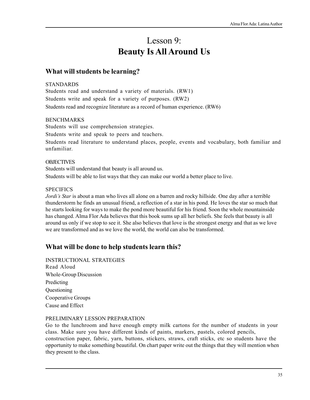# Lesson 9: **Beauty Is All Around Us**

### **What will students be learning?**

### **STANDARDS**

Students read and understand a variety of materials. (RW1) Students write and speak for a variety of purposes. (RW2) Students read and recognize literature as a record of human experience. (RW6)

### **BENCHMARKS**

Students will use comprehension strategies. Students write and speak to peers and teachers. Students read literature to understand places, people, events and vocabulary, both familiar and unfamiliar.

### **OBJECTIVES**

Students will understand that beauty is all around us. Students will be able to list ways that they can make our world a better place to live.

### **SPECIFICS**

*Jordi's Star* is about a man who lives all alone on a barren and rocky hillside. One day after a terrible thunderstorm he finds an unusual friend, a reflection of a star in his pond. He loves the star so much that he starts looking for ways to make the pond more beautiful for his friend. Soon the whole mountainside has changed. Alma Flor Ada believes that this book sums up all her beliefs. She feels that beauty is all around us only if we stop to see it. She also believes that love is the strongest energy and that as we love we are transformed and as we love the world, the world can also be transformed.

### **What will be done to help students learn this?**

INSTRUCTIONAL STRATEGIES Read Aloud Whole-Group Discussion Predicting **Ouestioning** Cooperative Groups Cause and Effect

### PRELIMINARY LESSON PREPARATION

Go to the lunchroom and have enough empty milk cartons for the number of students in your class. Make sure you have different kinds of paints, markers, pastels, colored pencils, construction paper, fabric, yarn, buttons, stickers, straws, craft sticks, etc so students have the opportunity to make something beautiful. On chart paper write out the things that they will mention when they present to the class.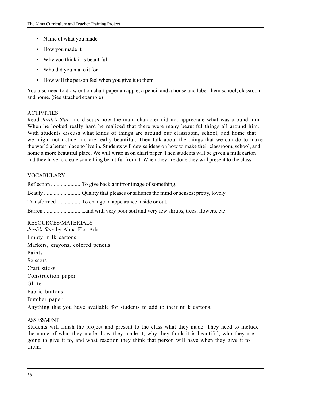- Name of what you made
- How you made it
- Why you think it is beautiful
- Who did you make it for
- How will the person feel when you give it to them

You also need to draw out on chart paper an apple, a pencil and a house and label them school, classroom and home. (See attached example)

### ACTIVITIES

Read *Jordi's Star* and discuss how the main character did not appreciate what was around him. When he looked really hard he realized that there were many beautiful things all around him. With students discuss what kinds of things are around our classroom, school, and home that we might not notice and are really beautiful. Then talk about the things that we can do to make the world a better place to live in. Students will devise ideas on how to make their classroom, school, and home a more beautiful place. We will write in on chart paper. Then students will be given a milk carton and they have to create something beautiful from it. When they are done they will present to the class.

### VOCABULARY

### RESOURCES/MATERIALS

*Jordi's Star* by Alma Flor Ada Empty milk cartons Markers, crayons, colored pencils Paints **Scissors** Craft sticks Construction paper Glitter Fabric buttons Butcher paper Anything that you have available for students to add to their milk cartons.

### ASSESSMENT

Students will finish the project and present to the class what they made. They need to include the name of what they made, how they made it, why they think it is beautiful, who they are going to give it to, and what reaction they think that person will have when they give it to them.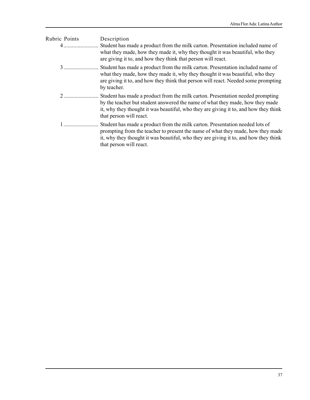| Rubric Points | Description                                                                                                                                                                                                                                                                        |
|---------------|------------------------------------------------------------------------------------------------------------------------------------------------------------------------------------------------------------------------------------------------------------------------------------|
| 4             | Student has made a product from the milk carton. Presentation included name of<br>what they made, how they made it, why they thought it was beautiful, who they<br>are giving it to, and how they think that person will react.                                                    |
|               | Student has made a product from the milk carton. Presentation included name of<br>what they made, how they made it, why they thought it was beautiful, who they<br>are giving it to, and how they think that person will react. Needed some prompting<br>by teacher.               |
| $\sim$ 2      | Student has made a product from the milk carton. Presentation needed prompting<br>by the teacher but student answered the name of what they made, how they made<br>it, why they thought it was beautiful, who they are giving it to, and how they think<br>that person will react. |
|               | Student has made a product from the milk carton. Presentation needed lots of<br>prompting from the teacher to present the name of what they made, how they made<br>it, why they thought it was beautiful, who they are giving it to, and how they think<br>that person will react. |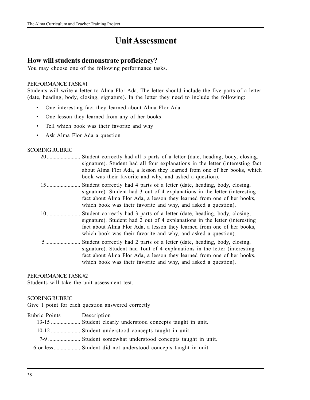# **Unit Assessment**

### **How will students demonstrate proficiency?**

You may choose one of the following performance tasks.

### PERFORMANCE TASK #1

Students will write a letter to Alma Flor Ada. The letter should include the five parts of a letter (date, heading, body, closing, signature). In the letter they need to include the following:

- One interesting fact they learned about Alma Flor Ada
- One lesson they learned from any of her books
- Tell which book was their favorite and why
- Ask Alma Flor Ada a question

### SCORING RUBRIC

- 20 ........................ Student correctly had all 5 parts of a letter (date, heading, body, closing, signature). Student had all four explanations in the letter (interesting fact about Alma Flor Ada, a lesson they learned from one of her books, which book was their favorite and why, and asked a question).
- 15 ........................ Student correctly had 4 parts of a letter (date, heading, body, closing, signature). Student had 3 out of 4 explanations in the letter (interesting fact about Alma Flor Ada, a lesson they learned from one of her books, which book was their favorite and why, and asked a question).
- 10 ........................ Student correctly had 3 parts of a letter (date, heading, body, closing, signature). Student had 2 out of 4 explanations in the letter (interesting fact about Alma Flor Ada, a lesson they learned from one of her books, which book was their favorite and why, and asked a question).
- 5 ......................... Student correctly had 2 parts of a letter (date, heading, body, closing, signature). Student had 1out of 4 explanations in the letter (interesting fact about Alma Flor Ada, a lesson they learned from one of her books, which book was their favorite and why, and asked a question).

### PERFORMANCE TASK #2

Students will take the unit assessment test.

### SCORING RUBRIC

Give 1 point for each question answered correctly

- Rubric Points Description
	- 13-15 ..................... Student clearly understood concepts taught in unit.
	- 10-12 ..................... Student understood concepts taught in unit.
	- 7-9 ....................... Student somewhat understood concepts taught in unit.
	- 6 or less................... Student did not understood concepts taught in unit.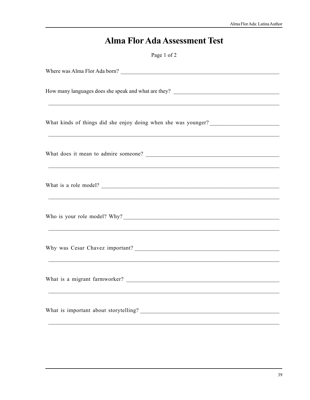# **Alma Flor Ada Assessment Test**

Page 1 of 2

| Where was Alma Flor Ada born?                                                                                    |
|------------------------------------------------------------------------------------------------------------------|
| How many languages does she speak and what are they?                                                             |
|                                                                                                                  |
|                                                                                                                  |
|                                                                                                                  |
| Who is your role model? Why?<br>,我们也不会有什么。""我们的人,我们也不会有什么?""我们的人,我们也不会有什么?""我们的人,我们也不会有什么?""我们的人,我们也不会有什么?""我们的人 |
| ,我们的人们就会在这里,我们的人们就会在这里,我们的人们就会在这里,我们的人们就会在这里,我们的人们就会在这里,我们的人们就会在这里,我们的人们就会在这里,我们                                 |
|                                                                                                                  |
|                                                                                                                  |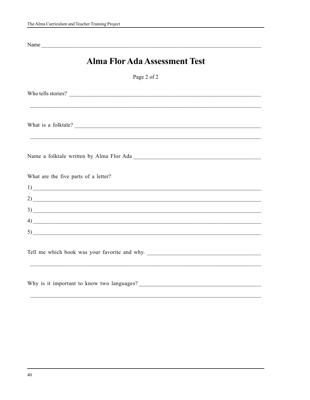Name

| <b>Alma Flor Ada Assessment Test</b>                                              |
|-----------------------------------------------------------------------------------|
| Page 2 of 2                                                                       |
| Who tells stories?                                                                |
|                                                                                   |
| What is a folktale?                                                               |
|                                                                                   |
|                                                                                   |
|                                                                                   |
| What are the five parts of a letter?<br>$\frac{1}{2}$                             |
|                                                                                   |
|                                                                                   |
| $\left(4\right)$                                                                  |
|                                                                                   |
| Tell me which book was your favorite and why. ___________________________________ |
| ,我们也不会有什么。""我们的人,我们也不会有什么?""我们的人,我们也不会有什么?""我们的人,我们也不会有什么?""我们的人,我们也不会有什么?""我们的人  |
|                                                                                   |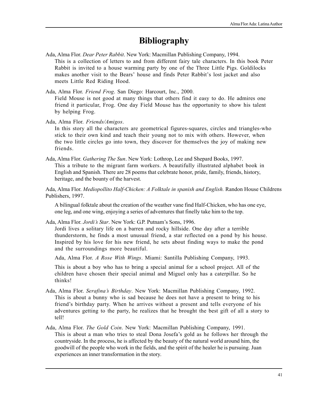# **Bibliography**

Ada, Alma Flor. *Dear Peter Rabbit*. New York: Macmillan Publishing Company, 1994. This is a collection of letters to and from different fairy tale characters. In this book Peter Rabbit is invited to a house warming party by one of the Three Little Pigs. Goldilocks makes another visit to the Bears' house and finds Peter Rabbit's lost jacket and also meets Little Red Riding Hood.

Ada, Alma Flor. *Friend Frog*. San Diego: Harcourt, Inc., 2000.

Field Mouse is not good at many things that others find it easy to do. He admires one friend it particular, Frog. One day Field Mouse has the opportunity to show his talent by helping Frog.

Ada, Alma Flor. *Friends/Amigos*.

In this story all the characters are geometrical figures-squares, circles and triangles-who stick to their own kind and teach their young not to mix with others. However, when the two little circles go into town, they discover for themselves the joy of making new friends.

Ada, Alma Flor. *Gathering The Sun*. New York: Lothrop, Lee and Shepard Books, 1997. This a tribute to the migrant farm workers. A beautifully illustrated alphabet book in English and Spanish. There are 28 poems that celebrate honor, pride, family, friends, history, heritage, and the bounty of the harvest.

Ada, Alma Flor. *Mediopollito Half-Chicken: A Folktale in spanish and English.* Randon House Childrens Publishers, 1997.

A bilingual folktale about the creation of the weather vane find Half-Chicken, who has one eye, one leg, and one wing, enjoying a series of adventures that finelly take him to the top.

Ada, Alma Flor. *Jordi's Star*. New York: G.P. Putnam's Sons, 1996.

Jordi lives a solitary life on a barren and rocky hillside. One day after a terrible thunderstorm, he finds a most unusual friend, a star reflected on a pond by his house. Inspired by his love for his new friend, he sets about finding ways to make the pond and the surroundings more beautiful.

Ada, Alma Flor. *A Rose With Wings*. Miami: Santilla Publishing Company, 1993.

This is about a boy who has to bring a special animal for a school project. All of the children have chosen their special animal and Miguel only has a caterpillar. So he thinks!

- Ada, Alma Flor. *Serafina's Birthday*. New York: Macmillan Publishing Company, 1992. This is about a bunny who is sad because he does not have a present to bring to his friend's birthday party. When he arrives without a present and tells everyone of his adventures getting to the party, he realizes that he brought the best gift of all a story to tell!
- Ada, Alma Flor. *The Gold Coin*. New York: Macmillan Publishing Company, 1991. This is about a man who tries to steal Dona Josefa's gold as he follows her through the countryside. In the process, he is affected by the beauty of the natural world around him, the goodwill of the people who work in the fields, and the spirit of the healer he is pursuing. Juan experiences an inner transformation in the story.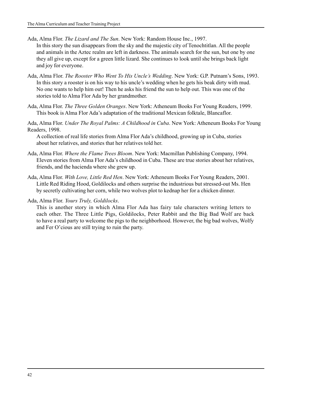Ada, Alma Flor. *The Lizard and The Sun*. New York: Random House Inc., 1997.

In this story the sun disappears from the sky and the majestic city of Tenochtitlan. All the people and animals in the Aztec realm are left in darkness. The animals search for the sun, but one by one they all give up, except for a green little lizard. She continues to look until she brings back light and joy for everyone.

- Ada, Alma Flor. *The Rooster Who Went To His Uncle's Wedding*. New York: G.P. Putnam's Sons, 1993. In this story a rooster is on his way to his uncle's wedding when he gets his beak dirty with mud. No one wants to help him out! Then he asks his friend the sun to help out. This was one of the stories told to Alma Flor Ada by her grandmother.
- Ada, Alma Flor. *The Three Golden Oranges*. New York: Atheneum Books For Young Readers, 1999. This book is Alma Flor Ada's adaptation of the traditional Mexican folktale, Blancaflor.

Ada, Alma Flor. *Under The Royal Palms: A Childhood in Cuba*. New York: Atheneum Books For Young Readers, 1998.

A collection of real life stories from Alma Flor Ada's childhood, growing up in Cuba, stories about her relatives, and stories that her relatives told her.

- Ada, Alma Flor. *Where the Flame Trees Bloom*. New York: Macmillan Publishing Company, 1994. Eleven stories from Alma Flor Ada's childhood in Cuba. These are true stories about her relatives, friends, and the hacienda where she grew up.
- Ada, Alma Flor. *With Love, Little Red Hen*. New York: Atheneum Books For Young Readers, 2001. Little Red Riding Hood, Goldilocks and others surprise the industrious but stressed-out Ms. Hen by secretly cultivating her corn, while two wolves plot to kednap her for a chicken dinner.
- Ada, Alma Flor. *Yours Truly, Goldilocks*.

This is another story in which Alma Flor Ada has fairy tale characters writing letters to each other. The Three Little Pigs, Goldilocks, Peter Rabbit and the Big Bad Wolf are back to have a real party to welcome the pigs to the neighborhood. However, the big bad wolves, Wolfy and Fer O'cious are still trying to ruin the party.